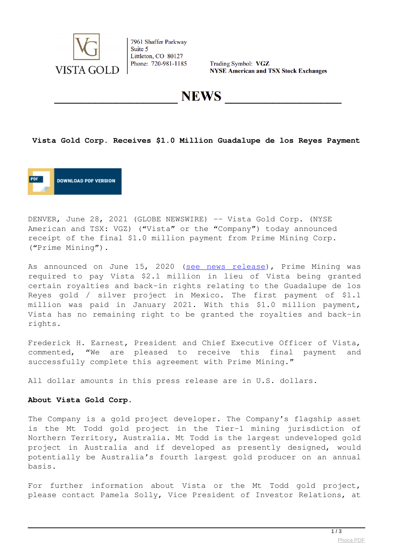

7961 Shaffer Parkway Suite 5 Littleton, CO 80127 Phone: 720-981-1185

Trading Symbol: VGZ **NYSE American and TSX Stock Exchanges** 

**NEWS** 

#### **Vista Gold Corp. Receives \$1.0 Million Guadalupe de los Reyes Payment**



DENVER, June 28, 2021 (GLOBE NEWSWIRE) -- Vista Gold Corp. (NYSE American and TSX: VGZ) ("Vista" or the "Company") today announced receipt of the final \$1.0 million payment from Prime Mining Corp. ("Prime Mining").

As announced on June 15, 2020 ([see news release](https://www.globenewswire.com/Tracker?data=gBuIdjcgqII4Co2d9mBRo4gH9pVQTfMuKnAHwVEbK7y-iqPHdNjLihZ1BJ7e4Xf0z5ZsU_yQlCKBE5psNihJ3CIsgsf7P2I5Xs6zcp91NhVUR1NNNTTpVOZJII3alzrMasWxQ6TcJ60gRUB0xecKiH6AoiLtDMYle9kuPLwwPDohh3rBjceFerYUvEY1-fx4UXBaEXThp91agOKOCfhyUA==)), Prime Mining was required to pay Vista \$2.1 million in lieu of Vista being granted certain royalties and back-in rights relating to the Guadalupe de los Reyes gold / silver project in Mexico. The first payment of \$1.1 million was paid in January 2021. With this \$1.0 million payment, Vista has no remaining right to be granted the royalties and back-in rights.

Frederick H. Earnest, President and Chief Executive Officer of Vista, commented, "We are pleased to receive this final payment and successfully complete this agreement with Prime Mining."

All dollar amounts in this press release are in U.S. dollars.

#### **About Vista Gold Corp.**

The Company is a gold project developer. The Company's flagship asset is the Mt Todd gold project in the Tier-1 mining jurisdiction of Northern Territory, Australia. Mt Todd is the largest undeveloped gold project in Australia and if developed as presently designed, would potentially be Australia's fourth largest gold producer on an annual basis.

For further information about Vista or the Mt Todd gold project, please contact Pamela Solly, Vice President of Investor Relations, at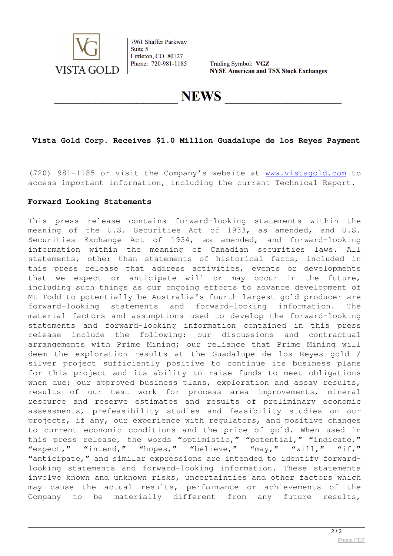

7961 Shaffer Parkway Suite 5 Littleton, CO 80127 Phone: 720-981-1185

Trading Symbol: VGZ **NYSE American and TSX Stock Exchanges** 

**NEWS** 

# **Vista Gold Corp. Receives \$1.0 Million Guadalupe de los Reyes Payment**

(720) 981-1185 or visit the Company's website at [www.vistagold.com](https://www.globenewswire.com/Tracker?data=QZ3s4o9UQnbg2jiwG3ut71XgsdSA0rF-N75qzcd-Is3arNINlNDdSk1j0BhzRrVNGFo-6BEY3GWmdqY_3u0g9Q==) to access important information, including the current Technical Report.

### **Forward Looking Statements**

This press release contains forward-looking statements within the meaning of the U.S. Securities Act of 1933, as amended, and U.S. Securities Exchange Act of 1934, as amended, and forward-looking information within the meaning of Canadian securities laws. All statements, other than statements of historical facts, included in this press release that address activities, events or developments that we expect or anticipate will or may occur in the future, including such things as our ongoing efforts to advance development of Mt Todd to potentially be Australia's fourth largest gold producer are forward-looking statements and forward-looking information. The material factors and assumptions used to develop the forward-looking statements and forward-looking information contained in this press release include the following: our discussions and contractual arrangements with Prime Mining; our reliance that Prime Mining will deem the exploration results at the Guadalupe de los Reyes gold / silver project sufficiently positive to continue its business plans for this project and its ability to raise funds to meet obligations when due; our approved business plans, exploration and assay results, results of our test work for process area improvements, mineral resource and reserve estimates and results of preliminary economic assessments, prefeasibility studies and feasibility studies on our projects, if any, our experience with regulators, and positive changes to current economic conditions and the price of gold. When used in this press release, the words "optimistic," "potential," "indicate," "expect," "intend," "hopes," "believe," "may," "will," "if," "anticipate," and similar expressions are intended to identify forwardlooking statements and forward-looking information. These statements involve known and unknown risks, uncertainties and other factors which may cause the actual results, performance or achievements of the Company to be materially different from any future results,